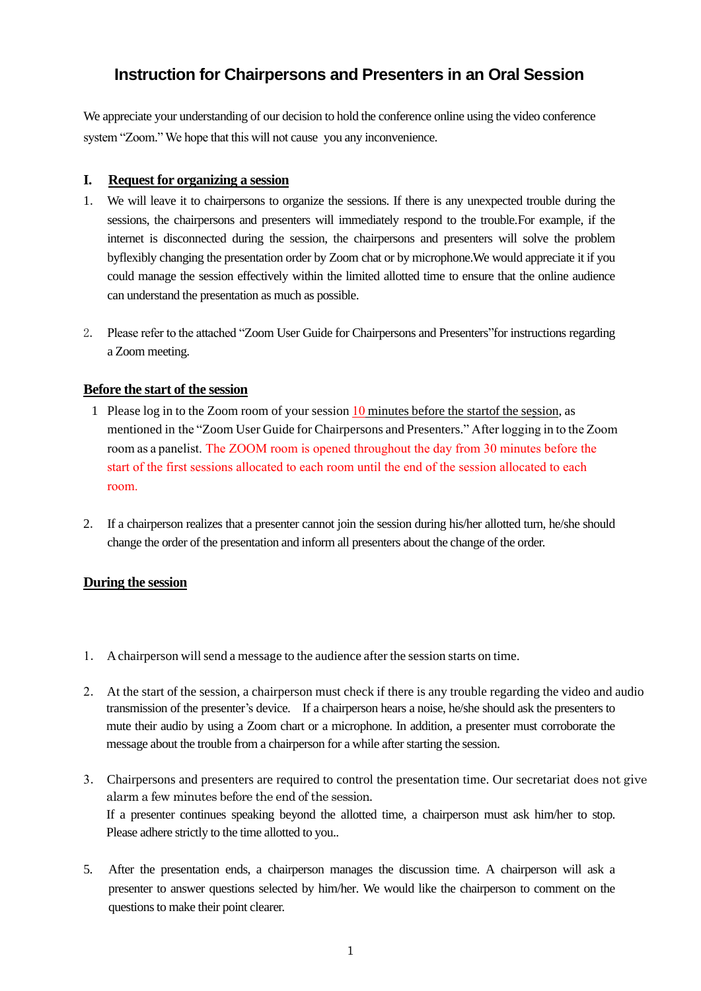## **Instruction for Chairpersons and Presenters in an Oral Session**

We appreciate your understanding of our decision to hold the conference online using the video conference system "Zoom." We hope that this will not cause you any inconvenience.

## **I. Request for organizing a session**

- 1. We will leave it to chairpersons to organize the sessions. If there is any unexpected trouble during the sessions, the chairpersons and presenters will immediately respond to the trouble.For example, if the internet is disconnected during the session, the chairpersons and presenters will solve the problem byflexibly changing the presentation order by Zoom chat or by microphone.We would appreciate it if you could manage the session effectively within the limited allotted time to ensure that the online audience can understand the presentation as much as possible.
- 2. Please refer to the attached "Zoom User Guide for Chairpersons and Presenters"for instructions regarding a Zoom meeting.

## **Before the start of the session**

- 1 Please log in to the Zoom room of your session 10 minutes before the startof the session, as mentioned in the "Zoom User Guide for Chairpersons and Presenters." After logging in to the Zoom room as a panelist. The ZOOM room is opened throughout the day from 30 minutes before the start of the first sessions allocated to each room until the end of the session allocated to each room.
- 2. If a chairperson realizes that a presenter cannot join the session during his/her allotted turn, he/she should change the order of the presentation and inform all presenters about the change of the order.

## **During the session**

- 1. A chairperson will send a message to the audience after the session starts on time.
- 2. At the start of the session, a chairperson must check if there is any trouble regarding the video and audio transmission of the presenter's device. If a chairperson hears a noise, he/she should ask the presenters to mute their audio by using a Zoom chart or a microphone. In addition, a presenter must corroborate the message about the trouble from a chairperson for a while after starting the session.
- 3. Chairpersons and presenters are required to control the presentation time. Our secretariat does not give alarm a few minutes before the end of the session. If a presenter continues speaking beyond the allotted time, a chairperson must ask him/her to stop. Please adhere strictly to the time allotted to you..
- 5. After the presentation ends, a chairperson manages the discussion time. A chairperson will ask a presenter to answer questions selected by him/her. We would like the chairperson to comment on the questions to make their point clearer.